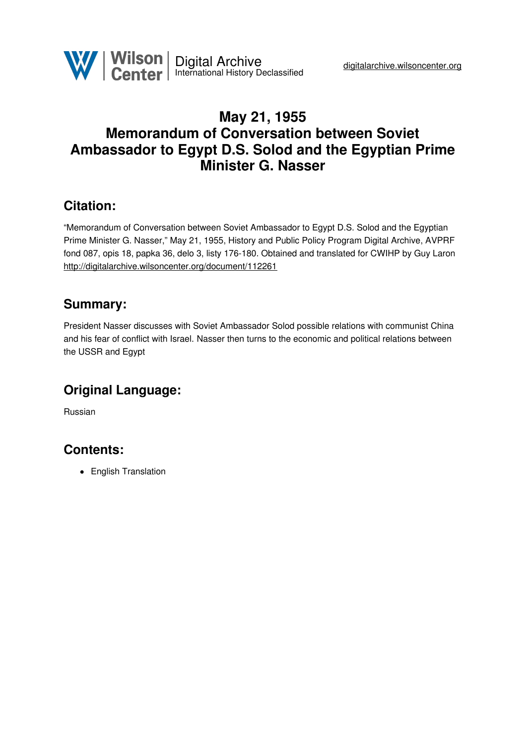

# **May 21, 1955 Memorandum of Conversation between Soviet Ambassador to Egypt D.S. Solod and the Egyptian Prime Minister G. Nasser**

### **Citation:**

"Memorandum of Conversation between Soviet Ambassador to Egypt D.S. Solod and the Egyptian Prime Minister G. Nasser," May 21, 1955, History and Public Policy Program Digital Archive, AVPRF fond 087, opis 18, papka 36, delo 3, listy 176-180. Obtained and translated for CWIHP by Guy Laron <http://digitalarchive.wilsoncenter.org/document/112261>

### **Summary:**

President Nasser discusses with Soviet Ambassador Solod possible relations with communist China and his fear of conflict with Israel. Nasser then turns to the economic and political relations between the USSR and Egypt

# **Original Language:**

Russian

### **Contents:**

• English Translation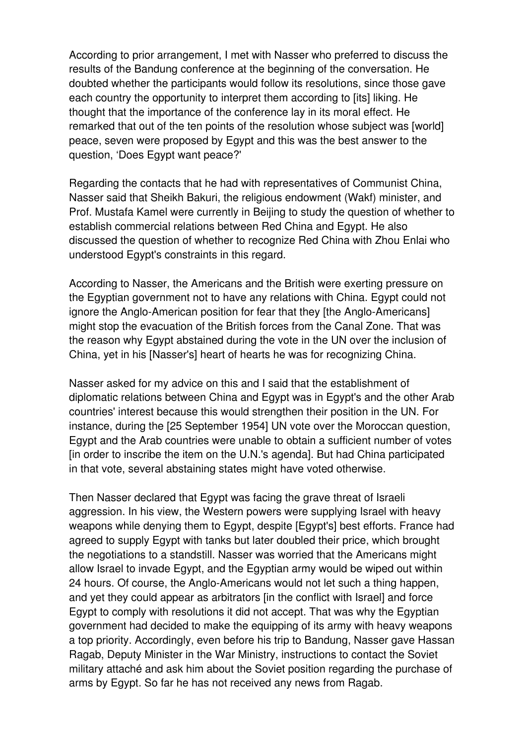According to prior arrangement, I met with Nasser who preferred to discuss the results of the Bandung conference at the beginning of the conversation. He doubted whether the participants would follow its resolutions, since those gave each country the opportunity to interpret them according to [its] liking. He thought that the importance of the conference lay in its moral effect. He remarked that out of the ten points of the resolution whose subject was [world] peace, seven were proposed by Egypt and this was the best answer to the question, 'Does Egypt want peace?'

Regarding the contacts that he had with representatives of Communist China, Nasser said that Sheikh Bakuri, the religious endowment (Wakf) minister, and Prof. Mustafa Kamel were currently in Beijing to study the question of whether to establish commercial relations between Red China and Egypt. He also discussed the question of whether to recognize Red China with Zhou Enlai who understood Egypt's constraints in this regard.

According to Nasser, the Americans and the British were exerting pressure on the Egyptian government not to have any relations with China. Egypt could not ignore the Anglo-American position for fear that they [the Anglo-Americans] might stop the evacuation of the British forces from the Canal Zone. That was the reason why Egypt abstained during the vote in the UN over the inclusion of China, yet in his [Nasser's] heart of hearts he was for recognizing China.

Nasser asked for my advice on this and I said that the establishment of diplomatic relations between China and Egypt was in Egypt's and the other Arab countries' interest because this would strengthen their position in the UN. For instance, during the [25 September 1954] UN vote over the Moroccan question, Egypt and the Arab countries were unable to obtain a sufficient number of votes [in order to inscribe the item on the U.N.'s agenda]. But had China participated in that vote, several abstaining states might have voted otherwise.

Then Nasser declared that Egypt was facing the grave threat of Israeli aggression. In his view, the Western powers were supplying Israel with heavy weapons while denying them to Egypt, despite [Egypt's] best efforts. France had agreed to supply Egypt with tanks but later doubled their price, which brought the negotiations to a standstill. Nasser was worried that the Americans might allow Israel to invade Egypt, and the Egyptian army would be wiped out within 24 hours. Of course, the Anglo-Americans would not let such a thing happen, and yet they could appear as arbitrators [in the conflict with Israel] and force Egypt to comply with resolutions it did not accept. That was why the Egyptian government had decided to make the equipping of its army with heavy weapons a top priority. Accordingly, even before his trip to Bandung, Nasser gave Hassan Ragab, Deputy Minister in the War Ministry, instructions to contact the Soviet military attaché and ask him about the Soviet position regarding the purchase of arms by Egypt. So far he has not received any news from Ragab.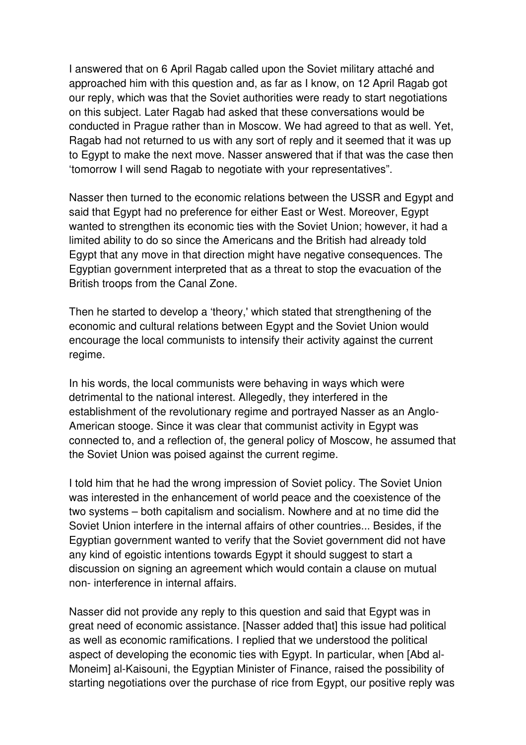I answered that on 6 April Ragab called upon the Soviet military attaché and approached him with this question and, as far as I know, on 12 April Ragab got our reply, which was that the Soviet authorities were ready to start negotiations on this subject. Later Ragab had asked that these conversations would be conducted in Prague rather than in Moscow. We had agreed to that as well. Yet, Ragab had not returned to us with any sort of reply and it seemed that it was up to Egypt to make the next move. Nasser answered that if that was the case then 'tomorrow I will send Ragab to negotiate with your representatives".

Nasser then turned to the economic relations between the USSR and Egypt and said that Egypt had no preference for either East or West. Moreover, Egypt wanted to strengthen its economic ties with the Soviet Union; however, it had a limited ability to do so since the Americans and the British had already told Egypt that any move in that direction might have negative consequences. The Egyptian government interpreted that as a threat to stop the evacuation of the British troops from the Canal Zone.

Then he started to develop a 'theory,' which stated that strengthening of the economic and cultural relations between Egypt and the Soviet Union would encourage the local communists to intensify their activity against the current regime.

In his words, the local communists were behaving in ways which were detrimental to the national interest. Allegedly, they interfered in the establishment of the revolutionary regime and portrayed Nasser as an Anglo-American stooge. Since it was clear that communist activity in Egypt was connected to, and a reflection of, the general policy of Moscow, he assumed that the Soviet Union was poised against the current regime.

I told him that he had the wrong impression of Soviet policy. The Soviet Union was interested in the enhancement of world peace and the coexistence of the two systems – both capitalism and socialism. Nowhere and at no time did the Soviet Union interfere in the internal affairs of other countries... Besides, if the Egyptian government wanted to verify that the Soviet government did not have any kind of egoistic intentions towards Egypt it should suggest to start a discussion on signing an agreement which would contain a clause on mutual non- interference in internal affairs.

Nasser did not provide any reply to this question and said that Egypt was in great need of economic assistance. [Nasser added that] this issue had political as well as economic ramifications. I replied that we understood the political aspect of developing the economic ties with Egypt. In particular, when [Abd al-Moneim] al-Kaisouni, the Egyptian Minister of Finance, raised the possibility of starting negotiations over the purchase of rice from Egypt, our positive reply was